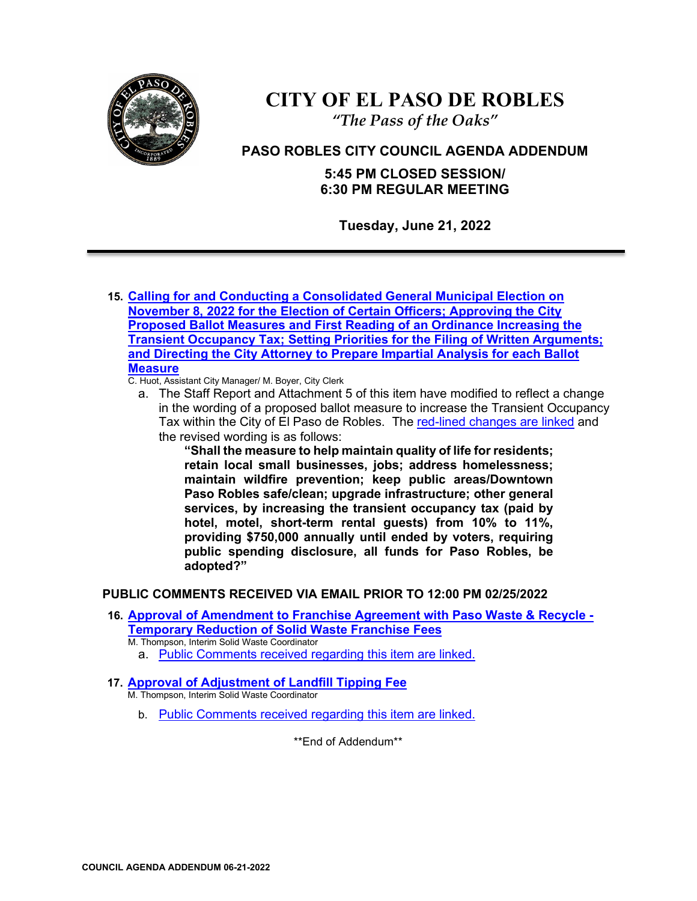

# **CITY OF EL PASO DE ROBLES**

*"The Pass of the Oaks"*

## **PASO ROBLES CITY COUNCIL AGENDA ADDENDUM**

**5:45 PM CLOSED SESSION/ 6:30 PM REGULAR MEETING**

**Tuesday, June 21, 2022**

- **15. [Calling for and Conducting a Consolidated General Municipal Election on](https://www.prcity.com/DocumentCenter/View/34169/June-21-2022-City-Council-Agenda-Item-23-PDF)  [November 8, 2022 for the Election of Certain Officers; Approving the City](https://www.prcity.com/DocumentCenter/View/34169/June-21-2022-City-Council-Agenda-Item-23-PDF)  [Proposed Ballot Measures and First Reading of an Ordinance Increasing the](https://www.prcity.com/DocumentCenter/View/34169/June-21-2022-City-Council-Agenda-Item-23-PDF)  [Transient Occupancy Tax; Setting Priorities for the Filing of Written Arguments;](https://www.prcity.com/DocumentCenter/View/34169/June-21-2022-City-Council-Agenda-Item-23-PDF)  [and Directing the City Attorney to Prepare Impartial Analysis for each Ballot](https://www.prcity.com/DocumentCenter/View/34169/June-21-2022-City-Council-Agenda-Item-23-PDF)  [Measure](https://www.prcity.com/DocumentCenter/View/34169/June-21-2022-City-Council-Agenda-Item-23-PDF)**
	- C. Huot, Assistant City Manager/ M. Boyer, City Clerk
		- a. The Staff Report and Attachment 5 of this item have modified to reflect a change in the wording of a proposed ballot measure to increase the Transient Occupancy Tax within the City of El Paso de Robles. The [red-lined changes are linked](https://www.prcity.com/DocumentCenter/View/34188/2022-06-21-City-Council-Meeting-Agenda-Addendum---Item-23PDF) and the revised wording is as follows:

**"Shall the measure to help maintain quality of life for residents; retain local small businesses, jobs; address homelessness; maintain wildfire prevention; keep public areas/Downtown Paso Robles safe/clean; upgrade infrastructure; other general services, by increasing the transient occupancy tax (paid by hotel, motel, short-term rental guests) from 10% to 11%, providing \$750,000 annually until ended by voters, requiring public spending disclosure, all funds for Paso Robles, be adopted?"**

## **PUBLIC COMMENTS RECEIVED VIA EMAIL PRIOR TO 12:00 PM 02/25/2022**

- **16. [Approval of Amendment to Franchise Agreement with Paso Waste & Recycle -](https://www.prcity.com/DocumentCenter/View/34161/June-21-2022-City-Council-Agenda-Item-15-PDF) [Temporary Reduction of Solid Waste Franchise Fees](https://www.prcity.com/DocumentCenter/View/34161/June-21-2022-City-Council-Agenda-Item-15-PDF)** M. Thompson, Interim Solid Waste Coordinator
	- a. [Public Comments received regarding this item are linked.](https://www.prcity.com/DocumentCenter/View/34186/2022-06-21-City-Council-Meeting-Agenda-Addendum---Item-15-Public-Comments-PDF)
- **17. [Approval of Adjustment of Landfill Tipping Fee](https://www.prcity.com/DocumentCenter/View/34162/June-21-2022-City-Council-Agenda-Item-16-PDF)** M. Thompson, Interim Solid Waste Coordinator
	- b. [Public Comments received regarding this item are linked.](https://www.prcity.com/DocumentCenter/View/34187/2022-06-21-City-Council-Meeting-Agenda-Addendum---Item-16-Public-Comments-PDF)

\*\*End of Addendum\*\*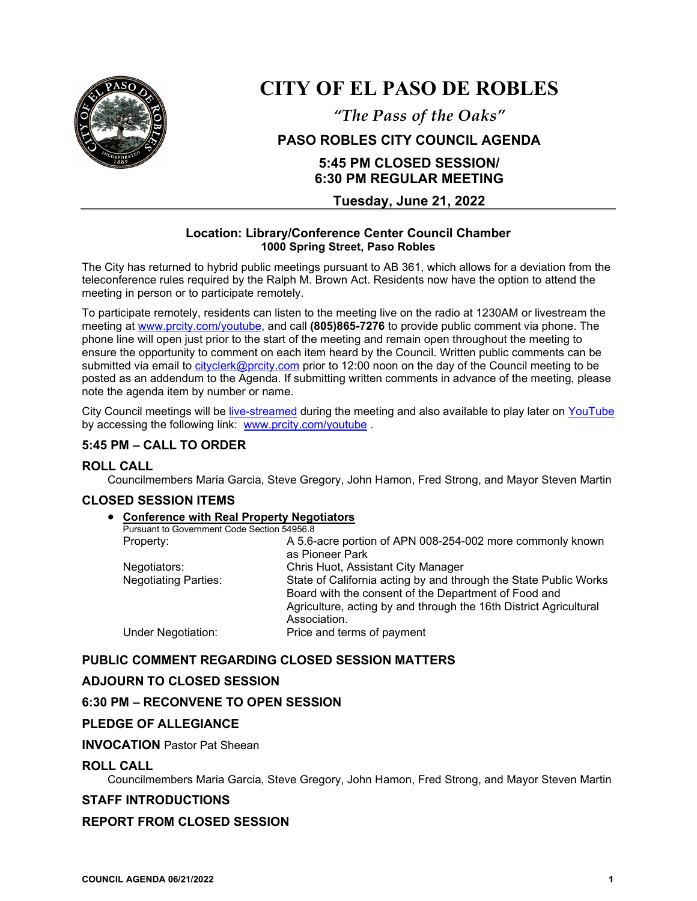

## **CITY OF EL PASO DE ROBLES**

*"The Pass of the Oaks"*

## **PASO ROBLES CITY COUNCIL AGENDA**

## **5:45 PM CLOSED SESSION/ 6:30 PM REGULAR MEETING**

**Tuesday, June 21, 2022**

#### **Location: Library/Conference Center Council Chamber 1000 Spring Street, Paso Robles**

The City has returned to hybrid public meetings pursuant to AB 361, which allows for a deviation from the teleconference rules required by the Ralph M. Brown Act. Residents now have the option to attend the meeting in person or to participate remotely.

To participate remotely, residents can listen to the meeting live on the radio at 1230AM or livestream the meeting at [www.prcity.com/youtube,](http://www.prcity.com/youtube) and call **(805)865-7276** to provide public comment via phone. The phone line will open just prior to the start of the meeting and remain open throughout the meeting to ensure the opportunity to comment on each item heard by the Council. Written public comments can be submitted via email to [cityclerk@prcity.com](mailto:cityclerk@prcity.com) prior to 12:00 noon on the day of the Council meeting to be posted as an addendum to the Agenda. If submitting written comments in advance of the meeting, please note the agenda item by number or name.

City Council meetings will be [live-streamed](https://www.youtube.com/channel/UCxElWtI1YhkPr6KI552RDuw) during the meeting and also available to play later on [YouTube](https://www.youtube.com/channel/UCxElWtI1YhkPr6KI552RDuw) by accessing the following link: [www.prcity.com/youtube](http://www.prcity.com/youtube) .

## **5:45 PM – CALL TO ORDER**

## **ROLL CALL**

Councilmembers Maria Garcia, Steve Gregory, John Hamon, Fred Strong, and Mayor Steven Martin

## **CLOSED SESSION ITEMS**

#### • **Conference with Real Property Negotiators**

|  | Pursuant to Government Code Section 54956.8 |                                                                   |
|--|---------------------------------------------|-------------------------------------------------------------------|
|  | Property:                                   | A 5.6-acre portion of APN 008-254-002 more commonly known         |
|  |                                             | as Pioneer Park                                                   |
|  | Negotiators:                                | Chris Huot, Assistant City Manager                                |
|  | <b>Negotiating Parties:</b>                 | State of California acting by and through the State Public Works  |
|  |                                             | Board with the consent of the Department of Food and              |
|  |                                             | Agriculture, acting by and through the 16th District Agricultural |
|  |                                             | Association.                                                      |
|  | Under Negotiation:                          | Price and terms of payment                                        |
|  |                                             |                                                                   |

## **PUBLIC COMMENT REGARDING CLOSED SESSION MATTERS**

## **ADJOURN TO CLOSED SESSION**

#### **6:30 PM – RECONVENE TO OPEN SESSION**

#### **PLEDGE OF ALLEGIANCE**

#### **INVOCATION** Pastor Pat Sheean

#### **ROLL CALL**

Councilmembers Maria Garcia, Steve Gregory, John Hamon, Fred Strong, and Mayor Steven Martin

#### **STAFF INTRODUCTIONS**

#### **REPORT FROM CLOSED SESSION**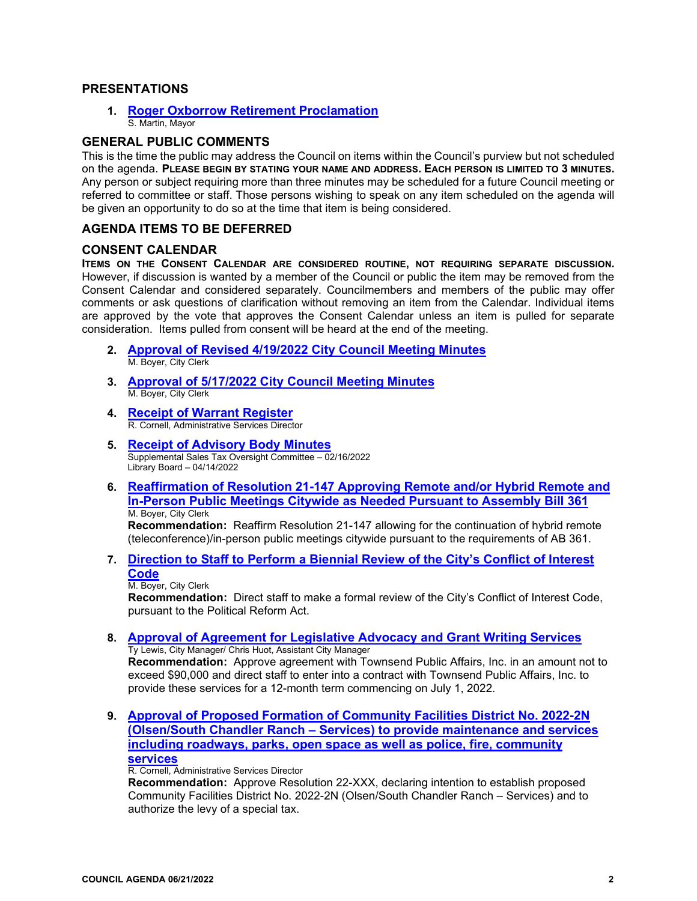#### **PRESENTATIONS**

**1. [Roger Oxborrow Retirement](https://www.prcity.com/DocumentCenter/View/34127/June-21-2022-City-Council-Agenda-Item-01-PDF) Proclamation**  S. Martin, Mayor

#### **GENERAL PUBLIC COMMENTS**

This is the time the public may address the Council on items within the Council's purview but not scheduled on the agenda. **PLEASE BEGIN BY STATING YOUR NAME AND ADDRESS. EACH PERSON IS LIMITED TO 3 MINUTES.** Any person or subject requiring more than three minutes may be scheduled for a future Council meeting or referred to committee or staff. Those persons wishing to speak on any item scheduled on the agenda will be given an opportunity to do so at the time that item is being considered.

#### **AGENDA ITEMS TO BE DEFERRED**

#### **CONSENT CALENDAR**

**ITEMS ON THE CONSENT CALENDAR ARE CONSIDERED ROUTINE, NOT REQUIRING SEPARATE DISCUSSION.** However, if discussion is wanted by a member of the Council or public the item may be removed from the Consent Calendar and considered separately. Councilmembers and members of the public may offer comments or ask questions of clarification without removing an item from the Calendar. Individual items are approved by the vote that approves the Consent Calendar unless an item is pulled for separate consideration. Items pulled from consent will be heard at the end of the meeting.

- **2. [Approval of Revised 4/19/2022 City Council Meeting Minutes](https://www.prcity.com/DocumentCenter/View/34128/June-21-2022-City-Council-Agenda-Item-02-PDF)**  M. Boyer, City Clerk
- **3. [Approval of 5/17/2022 City Council Meeting Minutes](https://www.prcity.com/DocumentCenter/View/34129/June-21-2022-City-Council-Agenda-Item-03-PDF)**  M. Boyer, City Clerk
- **4. Receipt [of Warrant Register](https://www.prcity.com/DocumentCenter/View/34130/June-21-2022-City-Council-Agenda-Item-04-PDF)**R. Cornell, Administrative Services Director
- **5. [Receipt of Advisory Body Minutes](https://www.prcity.com/DocumentCenter/View/34131/June-21-2022-City-Council-Agenda-Item-05-PDF)** Supplemental Sales Tax Oversight Committee – 02/16/2022 Library Board – 04/14/2022
- **6. [Reaffirmation of Resolution 21-147 Approving Remote and/or Hybrid Remote and](https://www.prcity.com/DocumentCenter/View/34132/June-21-2022-City-Council-Agenda-Item-06-PDF)  [In-Person Public Meetings Citywide as Needed Pursuant to Assembly Bill 361](https://www.prcity.com/DocumentCenter/View/34132/June-21-2022-City-Council-Agenda-Item-06-PDF)** M. Boyer, City Clerk

**Recommendation:** Reaffirm Resolution 21-147 allowing for the continuation of hybrid remote (teleconference)/in-person public meetings citywide pursuant to the requirements of AB 361.

**7. [Direction to Staff to Perform a Biennial Review of the City's Conflict of Interest](https://www.prcity.com/DocumentCenter/View/34133/June-21-2022-City-Council-Agenda-Item-07-PDF)  [Code](https://www.prcity.com/DocumentCenter/View/34133/June-21-2022-City-Council-Agenda-Item-07-PDF)**

M. Boyer, City Clerk

**Recommendation:** Direct staff to make a formal review of the City's Conflict of Interest Code, pursuant to the Political Reform Act.

**8. [Approval of Agreement for Legislative Advocacy and Grant Writing Services](https://www.prcity.com/DocumentCenter/View/34175/June-21-2022-City-Council-Agenda-Item-08-PDF)**  Ty Lewis, City Manager/ Chris Huot, Assistant City Manager

**Recommendation:** Approve agreement with Townsend Public Affairs, Inc. in an amount not to exceed \$90,000 and direct staff to enter into a contract with Townsend Public Affairs, Inc. to provide these services for a 12-month term commencing on July 1, 2022.

**9. [Approval of Proposed Formation of Community Facilities District No. 2022-2N](https://www.prcity.com/DocumentCenter/View/34135/June-21-2022-City-Council-Agenda-Item-09-PDF)  [\(Olsen/South Chandler Ranch – Services\) to provide maintenance and services](https://www.prcity.com/DocumentCenter/View/34135/June-21-2022-City-Council-Agenda-Item-09-PDF)  [including roadways, parks, open space as well as police, fire, community](https://www.prcity.com/DocumentCenter/View/34135/June-21-2022-City-Council-Agenda-Item-09-PDF)  [services](https://www.prcity.com/DocumentCenter/View/34135/June-21-2022-City-Council-Agenda-Item-09-PDF)**

R. Cornell, Administrative Services Director

**Recommendation:** Approve Resolution 22-XXX, declaring intention to establish proposed Community Facilities District No. 2022-2N (Olsen/South Chandler Ranch – Services) and to authorize the levy of a special tax.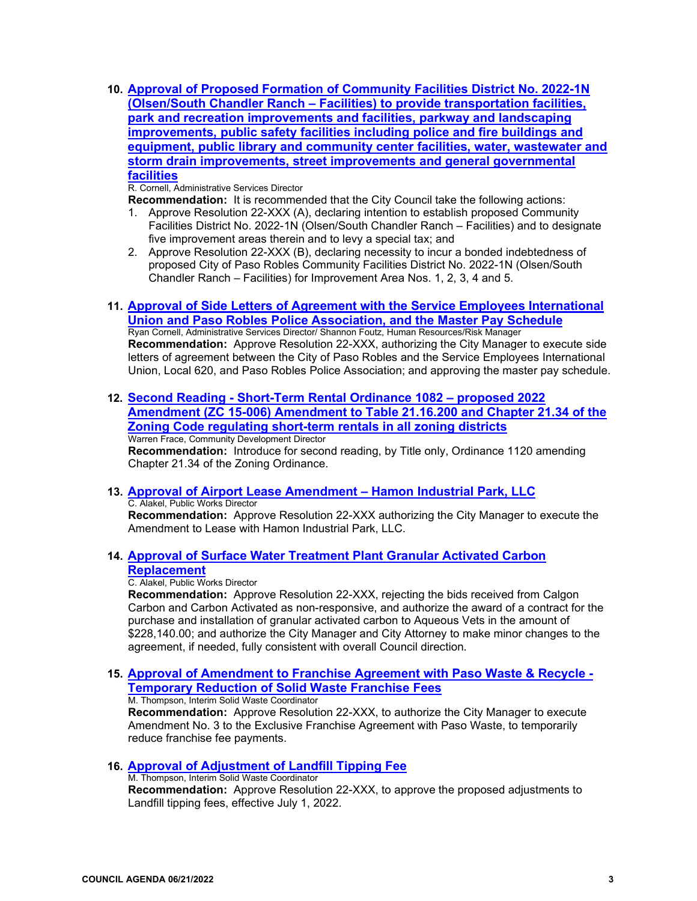**10. [Approval of Proposed Formation of Community Facilities District No. 2022-1N](https://www.prcity.com/DocumentCenter/View/34136/June-21-2022-City-Council-Agenda-Item-10-PDF)  [\(Olsen/South Chandler Ranch – Facilities\) to provide transportation facilities,](https://www.prcity.com/DocumentCenter/View/34136/June-21-2022-City-Council-Agenda-Item-10-PDF)  [park and recreation improvements and facilities, parkway and landscaping](https://www.prcity.com/DocumentCenter/View/34136/June-21-2022-City-Council-Agenda-Item-10-PDF)  [improvements, public safety facilities including police and fire buildings and](https://www.prcity.com/DocumentCenter/View/34136/June-21-2022-City-Council-Agenda-Item-10-PDF)  [equipment, public library and community center facilities, water, wastewater and](https://www.prcity.com/DocumentCenter/View/34136/June-21-2022-City-Council-Agenda-Item-10-PDF)  [storm drain improvements, street improvements and general governmental](https://www.prcity.com/DocumentCenter/View/34136/June-21-2022-City-Council-Agenda-Item-10-PDF)  [facilities](https://www.prcity.com/DocumentCenter/View/34136/June-21-2022-City-Council-Agenda-Item-10-PDF)**

R. Cornell, Administrative Services Director

**Recommendation:** It is recommended that the City Council take the following actions:

- 1. Approve Resolution 22-XXX (A), declaring intention to establish proposed Community Facilities District No. 2022-1N (Olsen/South Chandler Ranch – Facilities) and to designate five improvement areas therein and to levy a special tax; and
- 2. Approve Resolution 22-XXX (B), declaring necessity to incur a bonded indebtedness of proposed City of Paso Robles Community Facilities District No. 2022-1N (Olsen/South Chandler Ranch – Facilities) for Improvement Area Nos. 1, 2, 3, 4 and 5.
- **11. [Approval of Side Letters of Agreement with the Service Employees International](https://www.prcity.com/DocumentCenter/View/34137/June-21-2022-City-Council-Agenda-Item-11-PDF)  [Union and Paso Robles Police Association, and the Master Pay Schedule](https://www.prcity.com/DocumentCenter/View/34137/June-21-2022-City-Council-Agenda-Item-11-PDF)** Ryan Cornell, Administrative Services Director/ Shannon Foutz, Human Resources/Risk Manager **Recommendation:** Approve Resolution 22-XXX, authorizing the City Manager to execute side letters of agreement between the City of Paso Robles and the Service Employees International Union, Local 620, and Paso Robles Police Association; and approving the master pay schedule.
- **12. [Second Reading Short-Term Rental Ordinance 1082 proposed 2022](https://www.prcity.com/DocumentCenter/View/34173/June-21-2022-City-Council-Agenda-Item-12-PDF)  Amendment (ZC 15-006) [Amendment to Table 21.16.200 and Chapter 21.34 of the](https://www.prcity.com/DocumentCenter/View/34173/June-21-2022-City-Council-Agenda-Item-12-PDF)  Zoning [Code regulating short-term rentals in all zoning districts](https://www.prcity.com/DocumentCenter/View/34173/June-21-2022-City-Council-Agenda-Item-12-PDF)** Warren Frace, Community Development Director **Recommendation:** Introduce for second reading, by Title only, Ordinance 1120 amending

Chapter 21.34 of the Zoning Ordinance.

**13. [Approval of Airport Lease Amendment – Hamon Industrial Park, LLC](https://www.prcity.com/DocumentCenter/View/34174/June-21-2022-City-Council-Agenda-Item-13-PDF)** C. Alakel, Public Works Director

**Recommendation:** Approve Resolution 22-XXX authorizing the City Manager to execute the Amendment to Lease with Hamon Industrial Park, LLC.

**14. [Approval of Surface Water Treatment Plant Granular Activated Carbon](https://www.prcity.com/DocumentCenter/View/34160/June-21-2022-City-Council-Agenda-Item-14-PDF)  [Replacement](https://www.prcity.com/DocumentCenter/View/34160/June-21-2022-City-Council-Agenda-Item-14-PDF)**

C. Alakel, Public Works Director

**Recommendation:** Approve Resolution 22-XXX, rejecting the bids received from Calgon Carbon and Carbon Activated as non-responsive, and authorize the award of a contract for the purchase and installation of granular activated carbon to Aqueous Vets in the amount of \$228,140.00; and authorize the City Manager and City Attorney to make minor changes to the agreement, if needed, fully consistent with overall Council direction.

**15. [Approval of Amendment to Franchise Agreement with Paso Waste & Recycle -](https://www.prcity.com/DocumentCenter/View/34161/June-21-2022-City-Council-Agenda-Item-15-PDF)  [Temporary Reduction of Solid Waste Franchise Fees](https://www.prcity.com/DocumentCenter/View/34161/June-21-2022-City-Council-Agenda-Item-15-PDF)**

M. Thompson, Interim Solid Waste Coordinator

**Recommendation:** Approve Resolution 22-XXX, to authorize the City Manager to execute Amendment No. 3 to the Exclusive Franchise Agreement with Paso Waste, to temporarily reduce franchise fee payments.

#### **16. [Approval of Adjustment of Landfill Tipping Fee](https://www.prcity.com/DocumentCenter/View/34162/June-21-2022-City-Council-Agenda-Item-16-PDF)**

M. Thompson, Interim Solid Waste Coordinator **Recommendation:** Approve Resolution 22-XXX, to approve the proposed adjustments to Landfill tipping fees, effective July 1, 2022.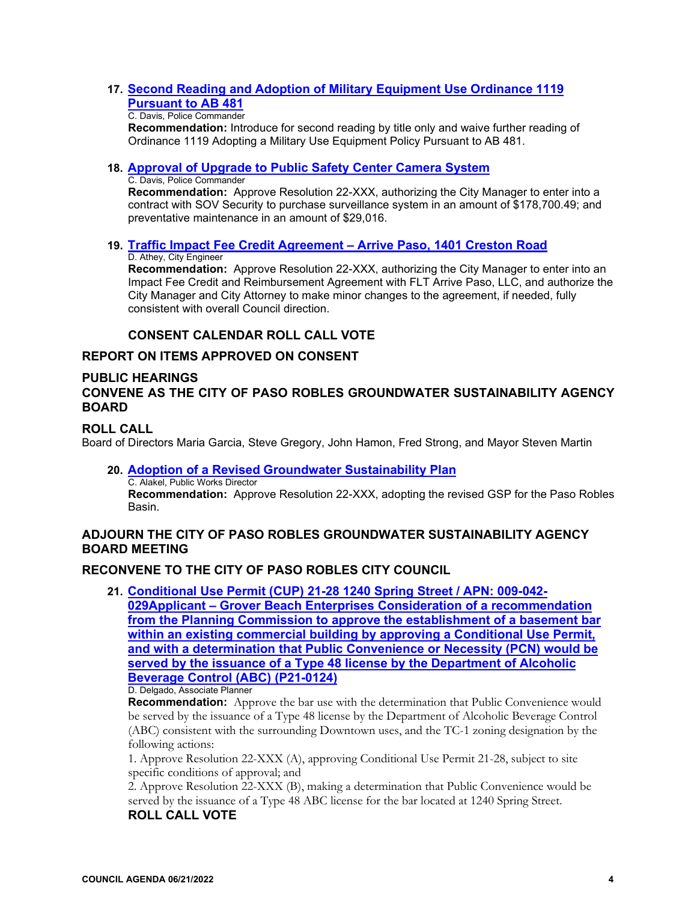#### **17. [Second Reading and Adoption of Military Equipment Use Ordinance 1119](https://www.prcity.com/DocumentCenter/View/34163/June-21-2022-City-Council-Agenda-Item-17-PDF)  [Pursuant to AB 481](https://www.prcity.com/DocumentCenter/View/34163/June-21-2022-City-Council-Agenda-Item-17-PDF)**

#### C. Davis, Police Commander

**Recommendation:** Introduce for second reading by title only and waive further reading of Ordinance 1119 Adopting a Military Use Equipment Policy Pursuant to AB 481.

#### **18. [Approval of Upgrade to Public Safety Center Camera System](https://www.prcity.com/DocumentCenter/View/34164/June-21-2022-City-Council-Agenda-Item-18-PDF)**

#### C. Davis, Police Commander

**Recommendation:** Approve Resolution 22-XXX, authorizing the City Manager to enter into a contract with SOV Security to purchase surveillance system in an amount of \$178,700.49; and preventative maintenance in an amount of \$29,016.

## **19. [Traffic Impact Fee Credit Agreement – Arrive Paso, 1401 Creston Road](https://www.prcity.com/DocumentCenter/View/34165/June-21-2022-City-Council-Agenda-Item-19-PDF)**

## D. Athey, City Engineer

**Recommendation:** Approve Resolution 22-XXX, authorizing the City Manager to enter into an Impact Fee Credit and Reimbursement Agreement with FLT Arrive Paso, LLC, and authorize the City Manager and City Attorney to make minor changes to the agreement, if needed, fully consistent with overall Council direction.

## **CONSENT CALENDAR ROLL CALL VOTE**

## **REPORT ON ITEMS APPROVED ON CONSENT**

#### **PUBLIC HEARINGS**

## **CONVENE AS THE CITY OF PASO ROBLES GROUNDWATER SUSTAINABILITY AGENCY BOARD**

#### **ROLL CALL**

Board of Directors Maria Garcia, Steve Gregory, John Hamon, Fred Strong, and Mayor Steven Martin

#### **20. [Adoption of a Revised Groundwater Sustainability Plan](https://www.prcity.com/DocumentCenter/View/34166/June-21-2022-City-Council-Agenda-Item-20-PDF)**  C. Alakel, Public Works Director

**Recommendation:** Approve Resolution 22-XXX, adopting the revised GSP for the Paso Robles Basin.

#### **ADJOURN THE CITY OF PASO ROBLES GROUNDWATER SUSTAINABILITY AGENCY BOARD MEETING**

## **RECONVENE TO THE CITY OF PASO ROBLES CITY COUNCIL**

**21. [Conditional Use Permit \(CUP\) 21-28 1240 Spring Street / APN: 009-042-](https://www.prcity.com/DocumentCenter/View/34167/June-21-2022-City-Council-Agenda-Item-21-PDF) [029Applicant – Grover Beach Enterprises](https://www.prcity.com/DocumentCenter/View/34167/June-21-2022-City-Council-Agenda-Item-21-PDF) Consideration of a recommendation [from the Planning Commission to approve the establishment of a basement bar](https://www.prcity.com/DocumentCenter/View/34167/June-21-2022-City-Council-Agenda-Item-21-PDF)  [within an existing commercial building by approving a Conditional Use Permit,](https://www.prcity.com/DocumentCenter/View/34167/June-21-2022-City-Council-Agenda-Item-21-PDF)  [and with a determination that Public Convenience or Necessity \(PCN\) would be](https://www.prcity.com/DocumentCenter/View/34167/June-21-2022-City-Council-Agenda-Item-21-PDF)  [served by the issuance of a Type 48 license by the Department of Alcoholic](https://www.prcity.com/DocumentCenter/View/34167/June-21-2022-City-Council-Agenda-Item-21-PDF)  [Beverage Control \(ABC\) \(P21-0124\)](https://www.prcity.com/DocumentCenter/View/34167/June-21-2022-City-Council-Agenda-Item-21-PDF)** D. Delgado, Associate Planner

**Recommendation:** Approve the bar use with the determination that Public Convenience would be served by the issuance of a Type 48 license by the Department of Alcoholic Beverage Control (ABC) consistent with the surrounding Downtown uses, and the TC-1 zoning designation by the following actions:

1. Approve Resolution 22-XXX (A), approving Conditional Use Permit 21-28, subject to site specific conditions of approval; and

2. Approve Resolution 22-XXX (B), making a determination that Public Convenience would be served by the issuance of a Type 48 ABC license for the bar located at 1240 Spring Street.

## **ROLL CALL VOTE**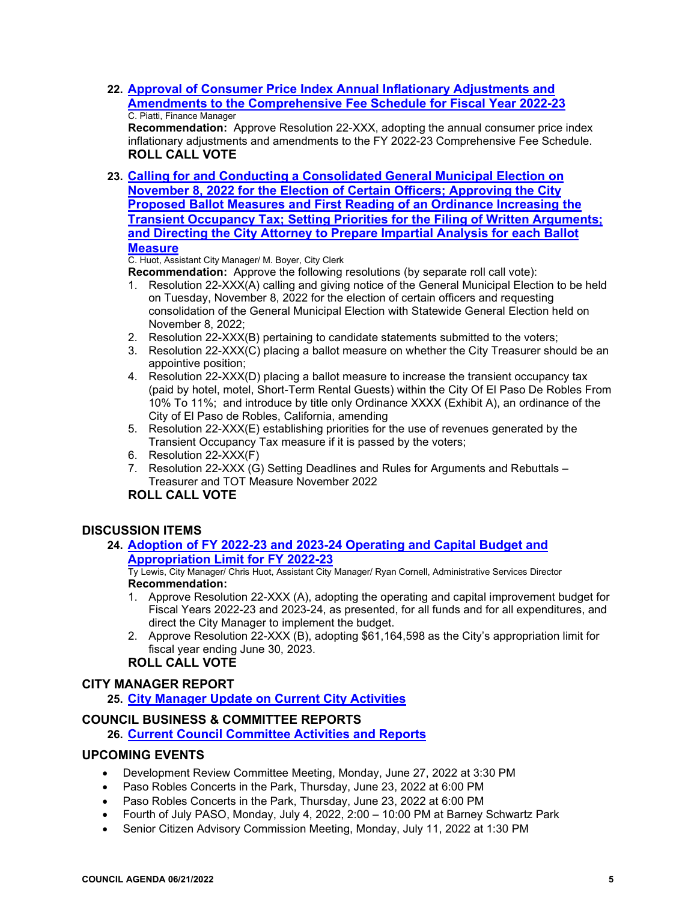**22. [Approval of Consumer Price Index Annual Inflationary Adjustments and](https://www.prcity.com/DocumentCenter/View/34168/June-21-2022-City-Council-Agenda-Item-22-PDF)  [Amendments to the Comprehensive Fee Schedule for Fiscal Year 2022-23](https://www.prcity.com/DocumentCenter/View/34168/June-21-2022-City-Council-Agenda-Item-22-PDF)** C. Piatti, Finance Manager

**Recommendation:** Approve Resolution 22-XXX, adopting the annual consumer price index inflationary adjustments and amendments to the FY 2022-23 Comprehensive Fee Schedule. **ROLL CALL VOTE**

**23. [Calling for and Conducting a Consolidated General Municipal Election on](https://www.prcity.com/DocumentCenter/View/34169/June-21-2022-City-Council-Agenda-Item-23-PDF)  [November 8, 2022 for the Election of Certain Officers; Approving the City](https://www.prcity.com/DocumentCenter/View/34169/June-21-2022-City-Council-Agenda-Item-23-PDF)  [Proposed Ballot Measures and First Reading of an Ordinance Increasing the](https://www.prcity.com/DocumentCenter/View/34169/June-21-2022-City-Council-Agenda-Item-23-PDF)  [Transient Occupancy Tax; Setting Priorities for the Filing of Written Arguments;](https://www.prcity.com/DocumentCenter/View/34169/June-21-2022-City-Council-Agenda-Item-23-PDF)  [and Directing the City Attorney to Prepare Impartial Analysis for each Ballot](https://www.prcity.com/DocumentCenter/View/34169/June-21-2022-City-Council-Agenda-Item-23-PDF)  [Measure](https://www.prcity.com/DocumentCenter/View/34169/June-21-2022-City-Council-Agenda-Item-23-PDF)**

C. Huot, Assistant City Manager/ M. Boyer, City Clerk

**Recommendation:** Approve the following resolutions (by separate roll call vote):

- 1. Resolution 22-XXX(A) calling and giving notice of the General Municipal Election to be held on Tuesday, November 8, 2022 for the election of certain officers and requesting consolidation of the General Municipal Election with Statewide General Election held on November 8, 2022;
- 2. Resolution 22-XXX(B) pertaining to candidate statements submitted to the voters;
- 3. Resolution 22-XXX(C) placing a ballot measure on whether the City Treasurer should be an appointive position;
- 4. Resolution 22-XXX(D) placing a ballot measure to increase the transient occupancy tax (paid by hotel, motel, Short-Term Rental Guests) within the City Of El Paso De Robles From 10% To 11%; and introduce by title only Ordinance XXXX (Exhibit A), an ordinance of the City of El Paso de Robles, California, amending
- 5. Resolution 22-XXX(E) establishing priorities for the use of revenues generated by the Transient Occupancy Tax measure if it is passed by the voters;
- 6. Resolution 22-XXX(F)
- 7. Resolution 22-XXX (G) Setting Deadlines and Rules for Arguments and Rebuttals Treasurer and TOT Measure November 2022

#### **ROLL CALL VOTE**

#### **DISCUSSION ITEMS**

#### **24. [Adoption of FY 2022-23 and 2023-24 Operating and Capital Budget and](https://www.prcity.com/DocumentCenter/View/34170/June-21-2022-City-Council-Agenda-Item-24-PDF)  [Appropriation Limit for FY 2022-23](https://www.prcity.com/DocumentCenter/View/34170/June-21-2022-City-Council-Agenda-Item-24-PDF)**

Ty Lewis, City Manager/ Chris Huot, Assistant City Manager/ Ryan Cornell, Administrative Services Director **Recommendation:** 

- 1. Approve Resolution 22-XXX (A), adopting the operating and capital improvement budget for Fiscal Years 2022-23 and 2023-24, as presented, for all funds and for all expenditures, and direct the City Manager to implement the budget.
- 2. Approve Resolution 22-XXX (B), adopting \$61,164,598 as the City's appropriation limit for fiscal year ending June 30, 2023.

## **ROLL CALL VOTE**

#### **CITY MANAGER REPORT**

**25. [City Manager Update on](https://www.prcity.com/DocumentCenter/View/34171/June-21-2022-City-Council-Agenda-Item-25-PDF) Current City Activities**

#### **COUNCIL BUSINESS & COMMITTEE REPORTS**

**26. [Current Council Committee Activities and Reports](https://www.prcity.com/DocumentCenter/View/34172/June-21-2022-City-Council-Agenda-Item-26-PDF)**

#### **UPCOMING EVENTS**

- [Development Review Committee Meeting,](https://www.prcity.com/Calendar.aspx?EID=1654&month=5&year=2022&day=10&calType=0) Monday, June 27, 2022 at 3:30 PM
- Paso Robles Concerts in the Park, Thursday, June 23, 2022 at 6:00 PM
- Paso Robles Concerts in the Park, Thursday, June 23, 2022 at 6:00 PM
- Fourth of July PASO, Monday, July 4, 2022, 2:00 10:00 PM at Barney Schwartz Park
- Senior Citizen Advisory Commission Meeting, Monday, July 11, 2022 at 1:30 PM